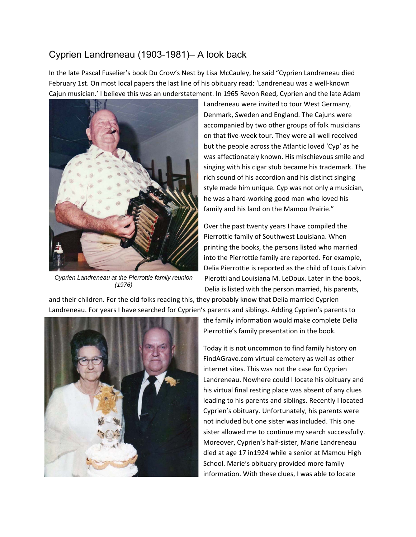## Cyprien Landreneau (1903-1981)– A look back

In the late Pascal Fuselier's book Du Crow's Nest by Lisa McCauley, he said "Cyprien Landreneau died February 1st. On most local papers the last line of his obituary read: 'Landreneau was a well‐known Cajun musician.' I believe this was an understatement. In 1965 Revon Reed, Cyprien and the late Adam



*Cyprien Landreneau at the Pierrottie family reunion (1976)* 

Landreneau were invited to tour West Germany, Denmark, Sweden and England. The Cajuns were accompanied by two other groups of folk musicians on that five‐week tour. They were all well received but the people across the Atlantic loved 'Cyp' as he was affectionately known. His mischievous smile and singing with his cigar stub became his trademark. The rich sound of his accordion and his distinct singing style made him unique. Cyp was not only a musician, he was a hard‐working good man who loved his family and his land on the Mamou Prairie."

Over the past twenty years I have compiled the Pierrottie family of Southwest Louisiana. When printing the books, the persons listed who married into the Pierrottie family are reported. For example, Delia Pierrottie is reported as the child of Louis Calvin Pierotti and Louisiana M. LeDoux. Later in the book, Delia is listed with the person married, his parents,

and their children. For the old folks reading this, they probably know that Delia married Cyprien Landreneau. For years I have searched for Cyprien's parents and siblings. Adding Cyprien's parents to



the family information would make complete Delia Pierrottie's family presentation in the book.

Today it is not uncommon to find family history on FindAGrave.com virtual cemetery as well as other internet sites. This was not the case for Cyprien Landreneau. Nowhere could I locate his obituary and his virtual final resting place was absent of any clues leading to his parents and siblings. Recently I located Cyprien's obituary. Unfortunately, his parents were not included but one sister was included. This one sister allowed me to continue my search successfully. Moreover, Cyprien's half‐sister, Marie Landreneau died at age 17 in1924 while a senior at Mamou High School. Marie's obituary provided more family information. With these clues, I was able to locate